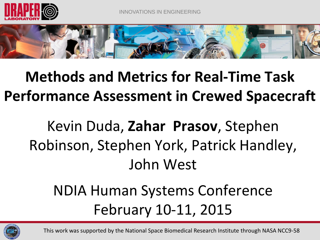



### **Methods and Metrics for Real-Time Task Performance Assessment in Crewed Spacecraft**

## Kevin Duda, **Zahar Prasov**, Stephen Robinson, Stephen York, Patrick Handley, John West

### NDIA Human Systems Conference February 10-11, 2015



This work was supported by the National Space Biomedical Research Institute through NASA NCC9-58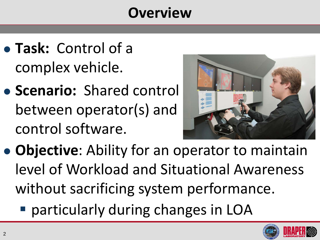#### **Overview**

- **Task:** Control of a complex vehicle.
- **Scenario:** Shared control between operator(s) and control software.



- **Objective**: Ability for an operator to maintain level of Workload and Situational Awareness without sacrificing system performance.
	- particularly during changes in LOA

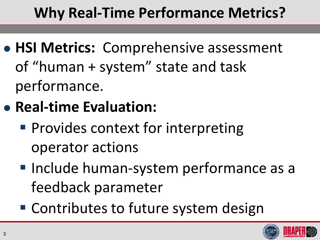## **Why Real-Time Performance Metrics?**

- **HSI Metrics:** Comprehensive assessment of "human + system" state and task performance.
- **Real-time Evaluation:** 
	- **Provides context for interpreting** operator actions
	- **Include human-system performance as a** feedback parameter
	- Contributes to future system design

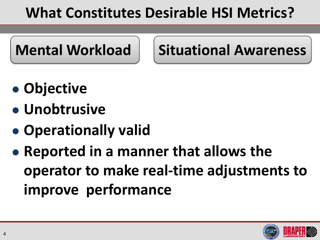### **What Constitutes Desirable HSI Metrics?**



**Mental Workload | Situational Awareness** 

- **Objective**
- **Unobtrusive**
- **Operationally valid**
- **Reported in a manner that allows the operator to make real-time adjustments to improve performance**

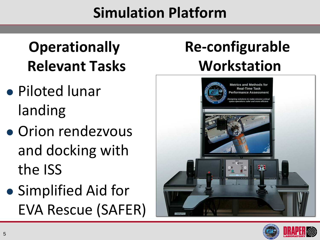### **Simulation Platform**

## **Operationally Relevant Tasks**

- Piloted lunar landing
- Orion rendezvous and docking with the ISS
- Simplified Aid for EVA Rescue (SAFER)

# **Re-configurable Workstation**



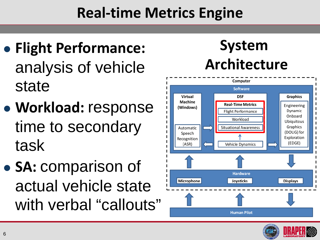### **Real-time Metrics Engine**

- **Flight Performance:**  analysis of vehicle state
- **Workload:** response time to secondary task
- **SA:** comparison of actual vehicle state with verbal "callouts"

# **System Architecture**



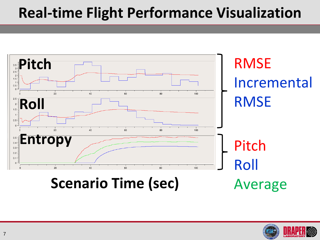#### **Real-time Flight Performance Visualization**



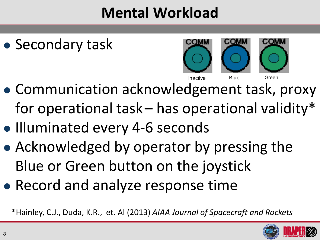### **Mental Workload**





- Communication acknowledgement task, proxy for operational task– has operational validity\*
- Illuminated every 4-6 seconds
- Acknowledged by operator by pressing the Blue or Green button on the joystick
- Record and analyze response time

\*Hainley, C.J., Duda, K.R., et. Al (2013) *AIAA Journal of Spacecraft and Rockets*

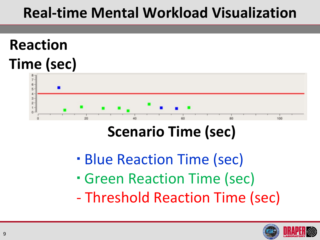### **Real-time Mental Workload Visualization**

### **Reaction Time (sec)**



#### **Scenario Time (sec)**

- **Blue Reaction Time (sec)**
- Green Reaction Time (sec)
- Threshold Reaction Time (sec)

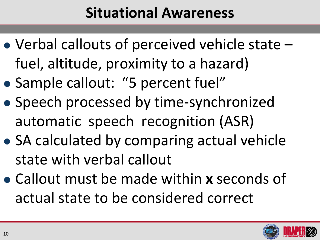#### **Situational Awareness**

- Verbal callouts of perceived vehicle state fuel, altitude, proximity to a hazard)
- Sample callout: "5 percent fuel"
- Speech processed by time-synchronized automatic speech recognition (ASR)
- SA calculated by comparing actual vehicle state with verbal callout
- Callout must be made within **x** seconds of actual state to be considered correct

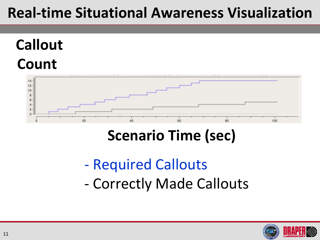#### **Real-time Situational Awareness Visualization**

# **Callout Count**



### **Scenario Time (sec)**

- Required Callouts
- Correctly Made Callouts

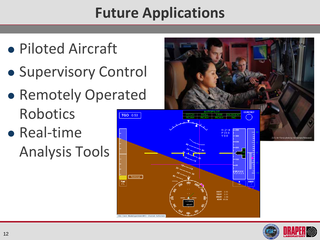## **Future Applications**

- Piloted Aircraft
- **Supervisory Control**
- **Remotely Operated** Robotics **TGO** 0:53
- Real-time Analysis Tools





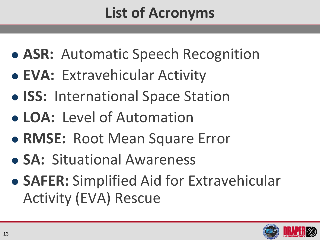## **List of Acronyms**

- **ASR:** Automatic Speech Recognition
- **EVA:** Extravehicular Activity
- **ISS:** International Space Station
- **LOA:** Level of Automation
- **RMSE:** Root Mean Square Error
- **SA:** Situational Awareness
- **SAFER:** Simplified Aid for Extravehicular Activity (EVA) Rescue